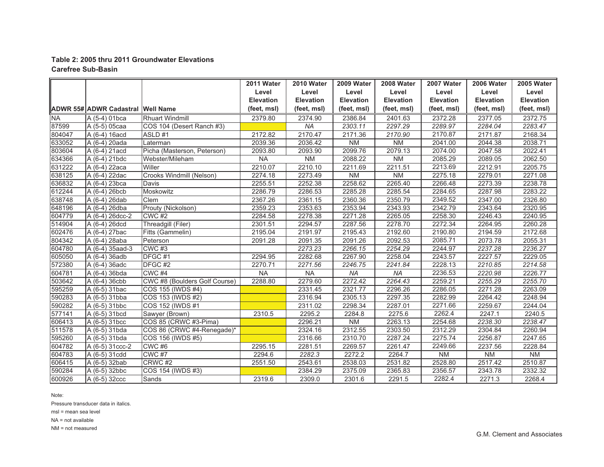## **Table 2: 2005 thru 2011 Groundwater Elevations Carefree Sub-Basin**

|           |                                   |                               | 2011 Water       | 2010 Water       | 2009 Water       | 2008 Water       | 2007 Water       | 2006 Water       | 2005 Water       |
|-----------|-----------------------------------|-------------------------------|------------------|------------------|------------------|------------------|------------------|------------------|------------------|
|           |                                   |                               | Level            | Level            | Level            | Level            | Level            | Level            | Level            |
|           |                                   |                               | <b>Elevation</b> | <b>Elevation</b> | <b>Elevation</b> | <b>Elevation</b> | <b>Elevation</b> | <b>Elevation</b> | <b>Elevation</b> |
|           | ADWR 55# ADWR Cadastral Well Name |                               | (feet, msl)      | (feet, msl)      | (feet, msl)      | (feet, msl)      | (feet, msl)      | (feet, msl)      | (feet, msl)      |
| <b>NA</b> | $A(5-4)$ 01bca                    | <b>Rhuart Windmill</b>        | 2379.80          | 2374.90          | 2386.84          | 2401.63          | 2372.28          | 2377.05          | 2372.75          |
| 87599     | A (5-5) 05caa                     | COS 104 (Desert Ranch #3)     |                  | <b>NA</b>        | 2303.11          | 2297.29          | 2289.97          | 2284.04          | 2283.47          |
| 804047    | A (6-4) 16acd                     | ASLD#1                        | 2172.82          | 2170.47          | 2171.36          | 2170.90          | 2170.87          | 2171.87          | 2168.34          |
| 633052    | A (6-4) 20ada                     | Laterman                      | 2039.36          | 2036.42          | <b>NM</b>        | N <sub>M</sub>   | 2041.00          | 2044.38          | 2038.71          |
| 803604    | A (6-4) 21acd                     | Picha (Masterson, Peterson)   | 2093.80          | 2093.90          | 2099.76          | 2079.13          | 2074.00          | 2047.58          | 2022.41          |
| 634366    | A (6-4) 21bdc                     | Webster/Mileham               | <b>NA</b>        | <b>NM</b>        | 2088.22          | N <sub>M</sub>   | 2085.29          | 2089.05          | 2062.50          |
| 631222    | A (6-4) 22aca                     | Willer                        | 2210.07          | 2210.10          | 2211.69          | 2211.51          | 2213.69          | 2212.91          | 2205.75          |
| 638125    | A (6-4) 22dac                     | Crooks Windmill (Nelson)      | 2274.18          | 2273.49          | <b>NM</b>        | NM               | 2275.18          | 2279.01          | 2271.08          |
| 636832    | A (6-4) 23bca                     | Davis                         | 2255.51          | 2252.38          | 2258.62          | 2265.40          | 2266.48          | 2273.39          | 2238.78          |
| 612244    | A (6-4) 26bcb                     | Moskowitz                     | 2286.79          | 2286.53          | 2285.28          | 2285.54          | 2284.65          | 2287.98          | 2283.22          |
| 638748    | A (6-4) 26dab                     | Clem                          | 2367.26          | 2361.15          | 2360.36          | 2350.79          | 2349.52          | 2347.00          | 2326.80          |
| 648196    | A (6-4) 26dba                     | Prouty (Nickolson)            | 2359.23          | 2353.63          | 2353.94          | 2343.93          | 2342.79          | 2343.64          | 2320.95          |
| 604779    | A (6-4) 26dcc-2                   | $CWC$ #2                      | 2284.58          | 2278.38          | 2271.28          | 2265.05          | 2258.30          | 2246.43          | 2240.95          |
| 514904    | A (6-4) 26dcd                     | Threadgill (Filer)            | 2301.51          | 2294.57          | 2287.56          | 2278.70          | 2272.34          | 2264.95          | 2260.28          |
| 602476    | $A(6-4)$ 27bac                    | Fitts (Gammelin)              | 2195.04          | 2191.97          | 2195.43          | 2192.60          | 2190.80          | 2194.59          | 2172.68          |
| 804342    | A (6-4) 28aba                     | Peterson                      | 2091.28          | 2091.35          | 2091.26          | 2092.53          | 2085.71          | 2073.78          | 2055.31          |
| 604780    | A (6-4) 35aad-3                   | <b>CWC #3</b>                 |                  | 2273.23          | 2266.15          | 2254.29          | 2244.97          | 2237.28          | 2236.27          |
| 605050    | A (6-4) 36adb                     | DFGC#1                        | 2294.95          | 2282.68          | 2267.90          | 2258.04          | 2243.57          | 2227.57          | 2229.05          |
| 572380    | A (6-4) 36adc                     | DFGC#2                        | 2270.71          | 2271.56          | 2246.75          | 2241.84          | 2228.13          | 2210.85          | 2214.58          |
| 604781    | A (6-4) 36bda                     | CWC <sub>#4</sub>             | <b>NA</b>        | <b>NA</b>        | <b>NA</b>        | <b>NA</b>        | 2236.53          | 2220.98          | 2226.77          |
| 503642    | A (6-4) 36cbb                     | CWC #8 (Boulders Golf Course) | 2288.80          | 2279.60          | 2272.42          | 2264.43          | 2259.21          | 2255.29          | 2255.70          |
| 595259    | A (6-5) 31bac                     | COS 155 (IWDS #4)             |                  | 2331.45          | 2321.77          | 2296.26          | 2286.05          | 2271.28          | 2263.09          |
| 590283    | A (6-5) 31bba                     | COS 153 (IWDS #2)             |                  | 2316.94          | 2305.13          | 2297.35          | 2282.99          | 2264.42          | 2248.94          |
| 590282    | A (6-5) 31bbc                     | COS 152 (IWDS #1              |                  | 2311.02          | 2298.34          | 2287.01          | 2271.66          | 2259.67          | 2244.04          |
| 577141    | A (6-5) 31bcd                     | Sawyer (Brown)                | 2310.5           | 2295.2           | 2284.8           | 2275.6           | 2262.4           | 2247.1           | 2240.5           |
| 606413    | A (6-5) 31bcc                     | COS 85 (CRWC #3-Pima)         |                  | 2296.21          | <b>NM</b>        | 2263.13          | 2254.68          | 2238.30          | 2238.47          |
| 511578    | A (6-5) 31bda                     | COS 86 (CRWC #4-Renegade)*    |                  | 2324.16          | 2312.55          | 2303.50          | 2312.29          | 2304.84          | 2260.94          |
| 595260    | A (6-5) 31bda                     | COS 156 (IWDS #5)             |                  | 2316.66          | 2310.70          | 2287.24          | 2275.74          | 2256.87          | 2247.65          |
| 604782    | A (6-5) 31ccc-2                   | CWC#6                         | 2295.15          | 2281.51          | 2269.57          | 2261.47          | 2249.66          | 2237.56          | 2228.84          |
| 604783    | A (6-5) 31cdd                     | CWC <sub>#7</sub>             | 2294.6           | 2282.3           | 2272.2           | 2264.7           | <b>NM</b>        | <b>NM</b>        | N <sub>M</sub>   |
| 606415    | A (6-5) 32bab                     | CRWC <sub>#2</sub>            | 2551.50          | 2543.61          | 2538.03          | 2531.82          | 2528.80          | 2517.42          | 2510.87          |
| 590284    | A (6-5) 32bbc                     | COS 154 (IWDS #3)             |                  | 2384.29          | 2375.09          | 2365.83          | 2356.57          | 2343.78          | 2332.32          |
| 600926    | A (6-5) 32ccc                     | Sands                         | 2319.6           | 2309.0           | 2301.6           | 2291.5           | 2282.4           | 2271.3           | 2268.4           |

Note:

Pressure transducer data in italics.

msl = mean sea level

NA = not available

NM = not measured